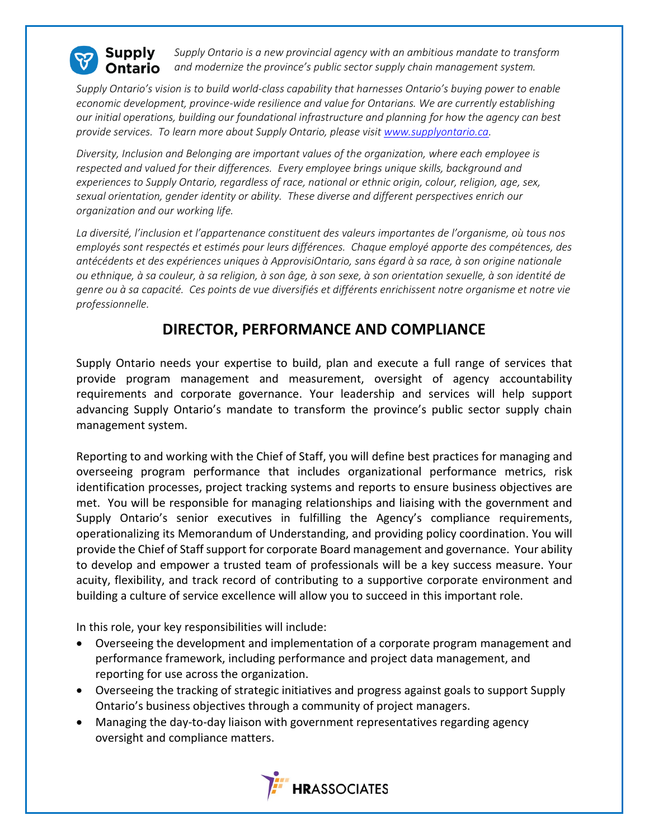

**Supply** *Supply Ontario is a new provincial agency with an ambitious mandate to transform and modernize the province's public sector supply chain management system.* Ontario

*Supply Ontario's vision is to build world-class capability that harnesses Ontario's buying power to enable economic development, province-wide resilience and value for Ontarians. We are currently establishing our initial operations, building our foundational infrastructure and planning for how the agency can best provide services. To learn more about Supply Ontario, please visit [www.supplyontario.ca.](http://www.supplyontario.ca/)* 

*Diversity, Inclusion and Belonging are important values of the organization, where each employee is respected and valued for their differences. Every employee brings unique skills, background and experiences to Supply Ontario, regardless of race, national or ethnic origin, colour, religion, age, sex, sexual orientation, gender identity or ability. These diverse and different perspectives enrich our organization and our working life.*

*La diversité, l'inclusion et l'appartenance constituent des valeurs importantes de l'organisme, où tous nos employés sont respectés et estimés pour leurs différences. Chaque employé apporte des compétences, des antécédents et des expériences uniques à ApprovisiOntario, sans égard à sa race, à son origine nationale ou ethnique, à sa couleur, à sa religion, à son âge, à son sexe, à son orientation sexuelle, à son identité de genre ou à sa capacité. Ces points de vue diversifiés et différents enrichissent notre organisme et notre vie professionnelle.*

## **DIRECTOR, PERFORMANCE AND COMPLIANCE**

Supply Ontario needs your expertise to build, plan and execute a full range of services that provide program management and measurement, oversight of agency accountability requirements and corporate governance. Your leadership and services will help support advancing Supply Ontario's mandate to transform the province's public sector supply chain management system.

Reporting to and working with the Chief of Staff, you will define best practices for managing and overseeing program performance that includes organizational performance metrics, risk identification processes, project tracking systems and reports to ensure business objectives are met. You will be responsible for managing relationships and liaising with the government and Supply Ontario's senior executives in fulfilling the Agency's compliance requirements, operationalizing its Memorandum of Understanding, and providing policy coordination. You will provide the Chief of Staff support for corporate Board management and governance. Your ability to develop and empower a trusted team of professionals will be a key success measure. Your acuity, flexibility, and track record of contributing to a supportive corporate environment and building a culture of service excellence will allow you to succeed in this important role.

In this role, your key responsibilities will include:

- Overseeing the development and implementation of a corporate program management and performance framework, including performance and project data management, and reporting for use across the organization.
- Overseeing the tracking of strategic initiatives and progress against goals to support Supply Ontario's business objectives through a community of project managers.
- Managing the day-to-day liaison with government representatives regarding agency oversight and compliance matters.